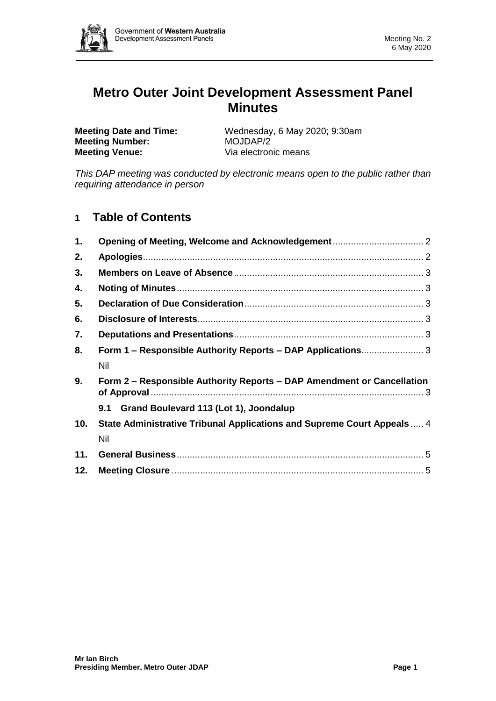

# **Metro Outer Joint Development Assessment Panel Minutes**

**Meeting Number:** MOJDAP/2 **Meeting Venue:** Via electronic means

**Meeting Date and Time:** Wednesday, 6 May 2020; 9:30am

*This DAP meeting was conducted by electronic means open to the public rather than requiring attendance in person*

# **1 Table of Contents**

| $\mathbf{1}$ . |                                                                         |  |
|----------------|-------------------------------------------------------------------------|--|
| 2.             |                                                                         |  |
| 3.             |                                                                         |  |
| 4.             |                                                                         |  |
| 5.             |                                                                         |  |
| 6.             |                                                                         |  |
| 7.             |                                                                         |  |
| 8.             | Form 1 – Responsible Authority Reports – DAP Applications 3             |  |
|                | Nil                                                                     |  |
| 9.             | Form 2 – Responsible Authority Reports – DAP Amendment or Cancellation  |  |
|                | 9.1 Grand Boulevard 113 (Lot 1), Joondalup                              |  |
| 10.            | State Administrative Tribunal Applications and Supreme Court Appeals  4 |  |
|                | Nil                                                                     |  |
| 11.            |                                                                         |  |
| 12.            |                                                                         |  |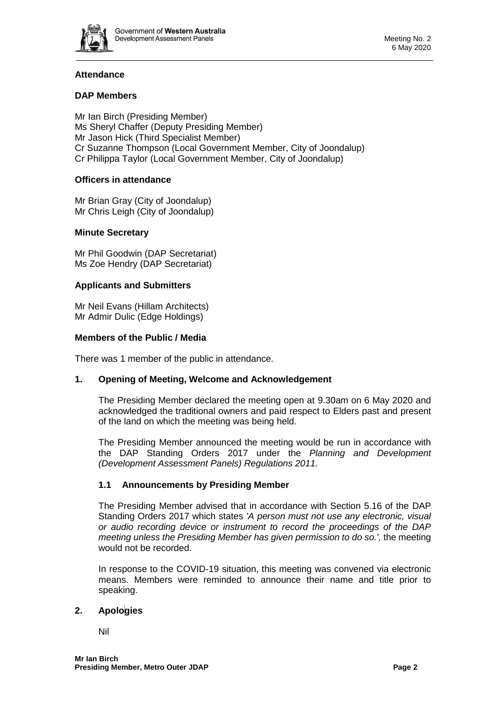

# **Attendance**

# **DAP Members**

Mr Ian Birch (Presiding Member) Ms Sheryl Chaffer (Deputy Presiding Member) Mr Jason Hick (Third Specialist Member) Cr Suzanne Thompson (Local Government Member, City of Joondalup) Cr Philippa Taylor (Local Government Member, City of Joondalup)

# **Officers in attendance**

Mr Brian Gray (City of Joondalup) Mr Chris Leigh (City of Joondalup)

# **Minute Secretary**

Mr Phil Goodwin (DAP Secretariat) Ms Zoe Hendry (DAP Secretariat)

#### **Applicants and Submitters**

Mr Neil Evans (Hillam Architects) Mr Admir Dulic (Edge Holdings)

#### **Members of the Public / Media**

<span id="page-1-0"></span>There was 1 member of the public in attendance.

#### **1. Opening of Meeting, Welcome and Acknowledgement**

The Presiding Member declared the meeting open at 9.30am on 6 May 2020 and acknowledged the traditional owners and paid respect to Elders past and present of the land on which the meeting was being held.

The Presiding Member announced the meeting would be run in accordance with the DAP Standing Orders 2017 under the *Planning and Development (Development Assessment Panels) Regulations 2011.*

# **1.1 Announcements by Presiding Member**

The Presiding Member advised that in accordance with Section 5.16 of the DAP Standing Orders 2017 which states *'A person must not use any electronic, visual or audio recording device or instrument to record the proceedings of the DAP meeting unless the Presiding Member has given permission to do so.',* the meeting would not be recorded.

In response to the COVID-19 situation, this meeting was convened via electronic means. Members were reminded to announce their name and title prior to speaking.

# <span id="page-1-1"></span>**2. Apologies**

Nil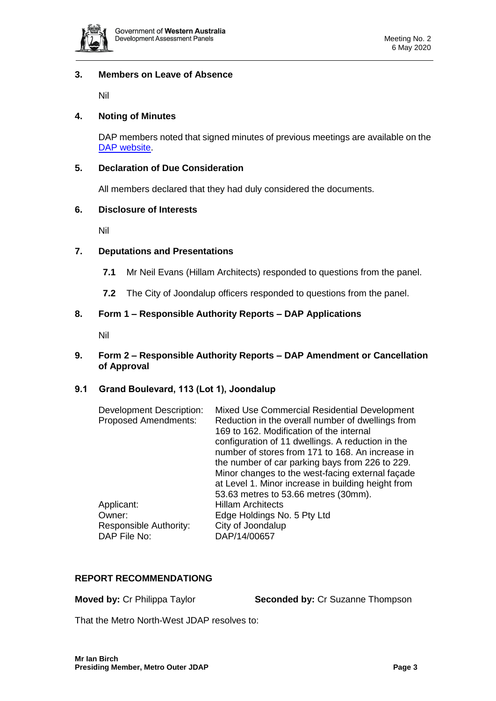

# <span id="page-2-0"></span>**3. Members on Leave of Absence**

Nil

# <span id="page-2-1"></span>**4. Noting of Minutes**

DAP members noted that signed minutes of previous meetings are available on the [DAP website.](https://www.dplh.wa.gov.au/about/development-assessment-panels/daps-agendas-and-minutes)

#### <span id="page-2-2"></span>**5. Declaration of Due Consideration**

All members declared that they had duly considered the documents.

#### <span id="page-2-3"></span>**6. Disclosure of Interests**

Nil

#### <span id="page-2-4"></span>**7. Deputations and Presentations**

- **7.1** Mr Neil Evans (Hillam Architects) responded to questions from the panel.
- **7.2** The City of Joondalup officers responded to questions from the panel.

#### <span id="page-2-5"></span>**8. Form 1 – Responsible Authority Reports – DAP Applications**

Nil

#### <span id="page-2-6"></span>**9. Form 2 – Responsible Authority Reports – DAP Amendment or Cancellation of Approval**

#### **9.1 Grand Boulevard, 113 (Lot 1), Joondalup**

| <b>Development Description:</b><br><b>Proposed Amendments:</b> | Mixed Use Commercial Residential Development<br>Reduction in the overall number of dwellings from<br>169 to 162. Modification of the internal<br>configuration of 11 dwellings. A reduction in the<br>number of stores from 171 to 168. An increase in<br>the number of car parking bays from 226 to 229.<br>Minor changes to the west-facing external façade<br>at Level 1. Minor increase in building height from<br>53.63 metres to 53.66 metres (30mm). |
|----------------------------------------------------------------|-------------------------------------------------------------------------------------------------------------------------------------------------------------------------------------------------------------------------------------------------------------------------------------------------------------------------------------------------------------------------------------------------------------------------------------------------------------|
| Applicant:                                                     | <b>Hillam Architects</b>                                                                                                                                                                                                                                                                                                                                                                                                                                    |
| Owner:                                                         | Edge Holdings No. 5 Pty Ltd                                                                                                                                                                                                                                                                                                                                                                                                                                 |
| Responsible Authority:                                         | City of Joondalup                                                                                                                                                                                                                                                                                                                                                                                                                                           |
| DAP File No:                                                   | DAP/14/00657                                                                                                                                                                                                                                                                                                                                                                                                                                                |

# **REPORT RECOMMENDATIONG**

**Moved by:** Cr Philippa Taylor **Seconded by:** Cr Suzanne Thompson

That the Metro North-West JDAP resolves to: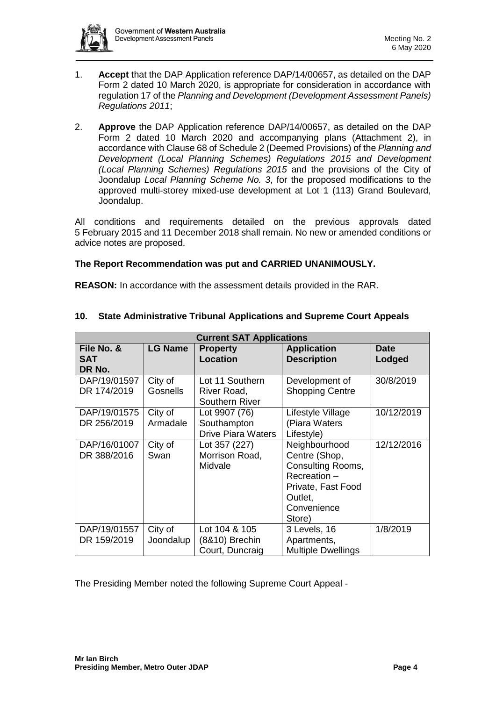

- 1. **Accept** that the DAP Application reference DAP/14/00657, as detailed on the DAP Form 2 dated 10 March 2020, is appropriate for consideration in accordance with regulation 17 of the *Planning and Development (Development Assessment Panels) Regulations 2011*;
- 2. **Approve** the DAP Application reference DAP/14/00657, as detailed on the DAP Form 2 dated 10 March 2020 and accompanying plans (Attachment 2), in accordance with Clause 68 of Schedule 2 (Deemed Provisions) of the *Planning and Development (Local Planning Schemes) Regulations 2015 and Development (Local Planning Schemes) Regulations 2015* and the provisions of the City of Joondalup *Local Planning Scheme No. 3*, for the proposed modifications to the approved multi-storey mixed-use development at Lot 1 (113) Grand Boulevard, Joondalup.

All conditions and requirements detailed on the previous approvals dated 5 February 2015 and 11 December 2018 shall remain. No new or amended conditions or advice notes are proposed.

#### **The Report Recommendation was put and CARRIED UNANIMOUSLY.**

**REASON:** In accordance with the assessment details provided in the RAR.

| <b>Current SAT Applications</b> |                            |                                                           |                                                                                                                               |                       |  |  |  |  |  |
|---------------------------------|----------------------------|-----------------------------------------------------------|-------------------------------------------------------------------------------------------------------------------------------|-----------------------|--|--|--|--|--|
| File No. &<br>SAT<br>DR No.     | <b>LG Name</b>             | <b>Property</b><br><b>Location</b>                        | <b>Application</b><br><b>Description</b>                                                                                      | <b>Date</b><br>Lodged |  |  |  |  |  |
| DAP/19/01597<br>DR 174/2019     | City of<br><b>Gosnells</b> | Lot 11 Southern<br>River Road,<br>Southern River          | Development of<br><b>Shopping Centre</b>                                                                                      | 30/8/2019             |  |  |  |  |  |
| DAP/19/01575<br>DR 256/2019     | City of<br>Armadale        | Lot 9907 (76)<br>Southampton<br><b>Drive Piara Waters</b> | Lifestyle Village<br>(Piara Waters<br>Lifestyle)                                                                              | 10/12/2019            |  |  |  |  |  |
| DAP/16/01007<br>DR 388/2016     | City of<br>Swan            | Lot 357 (227)<br>Morrison Road,<br>Midvale                | Neighbourhood<br>Centre (Shop,<br>Consulting Rooms,<br>Recreation -<br>Private, Fast Food<br>Outlet,<br>Convenience<br>Store) | 12/12/2016            |  |  |  |  |  |
| DAP/19/01557<br>DR 159/2019     | City of<br>Joondalup       | Lot 104 & 105<br>(8&10) Brechin<br>Court, Duncraig        | 3 Levels, 16<br>Apartments,<br><b>Multiple Dwellings</b>                                                                      | 1/8/2019              |  |  |  |  |  |

#### <span id="page-3-0"></span>**10. State Administrative Tribunal Applications and Supreme Court Appeals**

The Presiding Member noted the following Supreme Court Appeal -